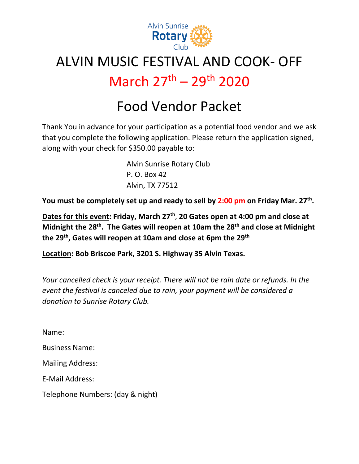

## ALVIN MUSIC FESTIVAL AND COOK- OFF March 27th – 29th 2020

# Food Vendor Packet

Thank You in advance for your participation as a potential food vendor and we ask that you complete the following application. Please return the application signed, along with your check for \$350.00 payable to:

> Alvin Sunrise Rotary Club P. O. Box 42 Alvin, TX 77512

You must be completely set up and ready to sell by 2:00 pm on Friday Mar. 27<sup>th</sup>.

**Dates for this event: Friday, March 27th**, **20 Gates open at 4:00 pm and close at Midnight the 28th. The Gates will reopen at 10am the 28th and close at Midnight the 29th, Gates will reopen at 10am and close at 6pm the 29th**

**Location: Bob Briscoe Park, 3201 S. Highway 35 Alvin Texas.**

*Your cancelled check is your receipt. There will not be rain date or refunds. In the event the festival is canceled due to rain, your payment will be considered a donation to Sunrise Rotary Club.* 

Name:

Business Name:

Mailing Address:

E-Mail Address:

Telephone Numbers: (day & night)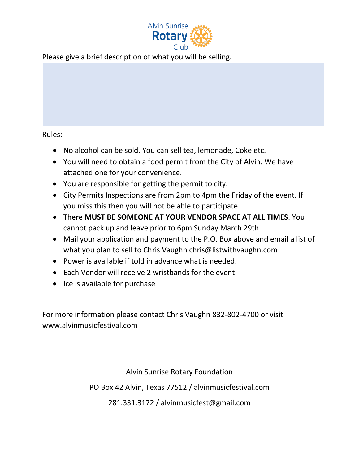

Please give a brief description of what you will be selling.

Rules:

- No alcohol can be sold. You can sell tea, lemonade, Coke etc.
- You will need to obtain a food permit from the City of Alvin. We have attached one for your convenience.
- You are responsible for getting the permit to city.
- City Permits Inspections are from 2pm to 4pm the Friday of the event. If you miss this then you will not be able to participate.
- There **MUST BE SOMEONE AT YOUR VENDOR SPACE AT ALL TIMES**. You cannot pack up and leave prior to 6pm Sunday March 29th .
- Mail your application and payment to the P.O. Box above and email a list of what you plan to sell to Chris Vaughn chris@listwithvaughn.com
- Power is available if told in advance what is needed.
- Each Vendor will receive 2 wristbands for the event
- Ice is available for purchase

For more information please contact Chris Vaughn 832-802-4700 or visit www.alvinmusicfestival.com

Alvin Sunrise Rotary Foundation

PO Box 42 Alvin, Texas 77512 / alvinmusicfestival.com

281.331.3172 / alvinmusicfest@gmail.com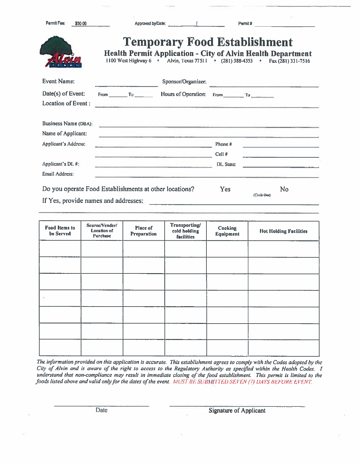| Permit Fee:<br>\$50.00               | Approved by/Date:                                                                                                                                    |                                     |            | Permit#                                 |                                                            |
|--------------------------------------|------------------------------------------------------------------------------------------------------------------------------------------------------|-------------------------------------|------------|-----------------------------------------|------------------------------------------------------------|
|                                      | <b>Health Permit Application - City of Alvin Health Department</b><br>1100 West Highway 6 · Alvin, Texas 77511 · (281) 388-4353 · Fax (281) 331-7516 | <b>Temporary Food Establishment</b> |            |                                         |                                                            |
| <b>Event Name:</b>                   |                                                                                                                                                      | Sponsor/Organizer:                  |            | the state of the company of the company |                                                            |
| $Date(s)$ of Event:                  | From $T_0$ and $T_0$                                                                                                                                 | Hours of Operation: From To         |            |                                         |                                                            |
| Location of Event:                   |                                                                                                                                                      |                                     |            |                                         |                                                            |
| Business Name (DBA):                 | <u> 1989 - Jan Harrison Miller, 1988 - Jan Harr</u>                                                                                                  |                                     |            |                                         |                                                            |
| Name of Applicant:                   | <u> 1988 - Januar Bengging III ay atawa</u>                                                                                                          |                                     |            |                                         |                                                            |
| <b>Applicant's Address:</b>          | n en en la provincia de la provincia de la provincia de la provincia de la provincia de la provincia de la pro                                       |                                     | Phone#     |                                         | <u> 1989 - Johann John Stein, fransk politik (d. 1989)</u> |
|                                      | <b>The Committee Committee Committee Committee Committee Committee Committee Committee</b>                                                           |                                     | $Cell$ #   |                                         | the contract of the contract of the contract of            |
| Applicant's DL #:                    | <u> 1989 - Francis Hermann, Amerikaansk politike</u> r                                                                                               |                                     | DL State:  |                                         |                                                            |
| Email Address:                       | The company of the company of the company of the company of the company of the company of the company of                                             |                                     |            |                                         |                                                            |
| If Yes, provide names and addresses: | Do you operate Food Establishments at other locations?                                                                                               |                                     | <b>Yes</b> | (Circle One)                            | No                                                         |

| <b>Food Items to</b><br>be Served | Source/Vender/<br>Location of<br><b>Purchase</b> | Place of<br>Preparation | Transporting/<br>cold holding<br><b>facilities</b> | Cooking<br><b>Equipment</b> | <b>Hot Holding Facilities</b> |
|-----------------------------------|--------------------------------------------------|-------------------------|----------------------------------------------------|-----------------------------|-------------------------------|
|                                   |                                                  |                         |                                                    |                             |                               |
|                                   |                                                  |                         |                                                    |                             |                               |
|                                   |                                                  |                         |                                                    |                             |                               |
| $\mathcal{L}$                     |                                                  |                         |                                                    |                             |                               |
|                                   |                                                  |                         |                                                    |                             |                               |
|                                   |                                                  |                         |                                                    |                             |                               |
|                                   |                                                  |                         |                                                    |                             |                               |

The information provided on this application is accurate. This establishment agrees to comply with the Codes adopted by the City of Alvin and is aware of the right to access to the Regulatory Authority as specified within the Health Codes. I understand that non-compliance may result in immediate closing of the food establishment. This permit is limited to the foods listed above and valid only for the dates of the event. MUST BE SUBMITTED SEVEN (7) DAYS BEFORE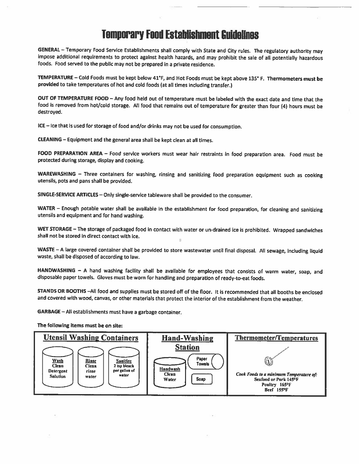## **Temporary Food Establishment Guidelines**

GENERAL - Temporary Food Service Establishments shall comply with State and City rules. The regulatory authority may impose additional requirements to protect against health hazards, and may prohibit the sale of all potentially hazardous foods. Food served to the public may not be prepared in a private residence.

TEMPERATURE - Cold Foods must be kept below 41°F, and Hot Foods must be kept above 135° F. Thermometers must be provided to take temperatures of hot and cold foods (at all times including transfer.)

OUT OF TEMPERATURE FOOD - Any food held out of temperature must be labeled with the exact date and time that the food is removed from hot/cold storage. All food that remains out of temperature for greater than four (4) hours must be destroyed.

ICE - Ice that is used for storage of food and/or drinks may not be used for consumption.

CLEANING - Equipment and the general area shall be kept clean at all times.

FOOD PREPARATION AREA - Food service workers must wear hair restraints in food preparation area. Food must be protected during storage, display and cooking.

WAREWASHING - Three containers for washing, rinsing and sanitizing food preparation equipment such as cooking utensils, pots and pans shall be provided.

SINGLE-SERVICE ARTICLES - Only single-service tableware shall be provided to the consumer.

WATER - Enough potable water shall be available in the establishment for food preparation, for cleaning and sanitizing utensils and equipment and for hand washing.

WET STORAGE - The storage of packaged food in contact with water or un-drained ice is prohibited. Wrapped sandwiches shall not be stored in direct contact with ice.

WASTE - A large covered container shall be provided to store wastewater until final disposal. All sewage, including liquid waste, shall be disposed of according to law.

HANDWASHING - A hand washing facility shall be available for employees that consists of warm water, soap, and disposable paper towels. Gloves must be worn for handling and preparation of ready-to-eat foods.

STANDS OR BOOTHS -All food and supplies must be stored off of the floor. It is recommended that all booths be enclosed and covered with wood, canvas, or other materials that protect the interior of the establishment from the weather.

GARBAGE - All establishments must have a garbage container.

The following items must be on site:

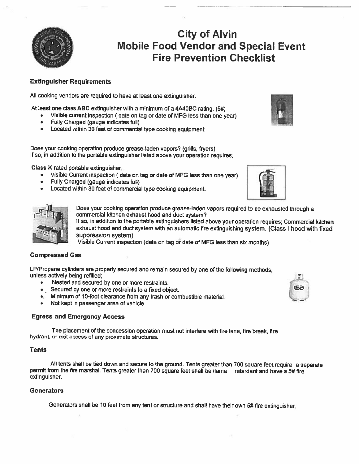

## **City of Alvin Mobile Food Vendor and Special Event Fire Prevention Checklist**

#### **Extinguisher Requirements**

All cooking vendors are required to have at least one extinguisher.

At least one class ABC extinguisher with a minimum of a 4A40BC rating. (5#)

- Visible current inspection (date on tag or date of MFG less than one year)
- Fully Charged (gauge indicates full)
- Located within 30 feet of commercial type cooking equipment.

Does your cooking operation produce grease-laden vapors? (grills, fryers) If so, in addition to the portable extinguisher listed above your operation requires.

Class K rated portable extinguisher.

- Visible Current inspection (date on tag or date of MFG less than one year)
- Fully Charged (gauge indicates full)
- Located within 30 feet of commercial type cooking equipment.





Does your cooking operation produce grease-laden vapors required to be exhausted through a commercial kitchen exhaust hood and duct system?

If so, in addition to the portable extinguishers listed above your operation requires; Commercial kitchen exhaust hood and duct system with an automatic fire extinguishing system. (Class I hood with fixed suppression system)

Visible Current inspection (date on tag or date of MFG less than six months)

#### **Compressed Gas**

LP/Propane cylinders are properly secured and remain secured by one of the following methods, unless actively being refilled;

- Nested and secured by one or more restraints.  $\bullet$
- Secured by one or more restraints to a fixed object.
- ... Minimum of 10-foot clearance from any trash or combustible material.
- Not kept in passenger area of vehicle

#### **Egress and Emergency Access**

The placement of the concession operation must not interfere with fire lane, fire break, fire hydrant, or exit access of any proximate structures.

#### **Tents**

All tents shall be tied down and secure to the ground. Tents greater than 700 square feet require a separate permit from the fire marshal. Tents greater than 700 square feet shall be flame retardant and have a 5# fire extinguisher.

#### **Generators**

Generators shall be 10 feet from any tent or structure and shall have their own 5# fire extinguisher.